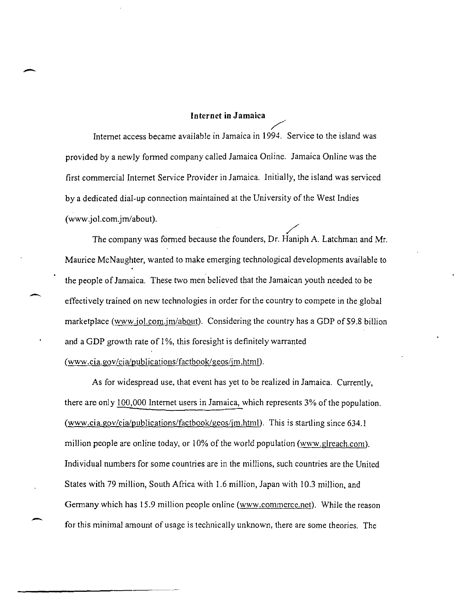## **Internet in Jamaica**

-

/' Internet access became available in Jamaica in 1994. Service to the island was provided by a newly formed company called Jamaica Online. Jamaica Online was the first commercial Internet Service Provider in Jamaica. Initially, the island was serviced by a dedicated dial-up connection maintained at the University of the West Indies (www.jol.com.jm/about).

ol.com.jm/about).<br>The company was formed because the founders, Dr. Haniph A. Latchman and Mr. Maurice McNaughter, wanted to make emerging technological developments available to the people of Jamaica. These two men believed that the Jamaican youth needed to be effectively trained on new technologies in order for the country to compete in the global marketplace (www.jol.com.jm/about). Considering the country has a GDP of \$9.8 billion and a GDP growth rate of 1%, this foresight is definitely warranted ( www.cia.gov/cialpublications/factbook/geos/jm.htm!).

As for widespread use, that event has yet to be realized in Jamaica. Currently, there are only 100,000 Internet users in Jamaica, which represents 3% of the population. (www.cia.gov/cia/publications/factbook/geos/im.html). This is startling since  $634.1$ million people are online today, or 10% of the world population (www.glreach.com). Individual numbers for some countries are in the millions, such countries are the United States with 79 million, South Africa with 1.6 million, Japan with 10.3 million, and Germany which has 15.9 million people online (www.commerce.net). While the reason for this minimal amount of usage is technically unknown, there are some theories. The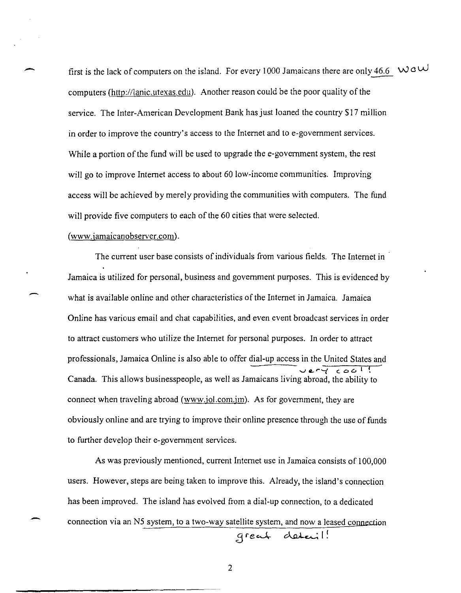first is the lack of computers on the island. For every 1000 Jamaicans there are only 46.6  $\sqrt{0}$  W  $\frac{1}{2}$ computers (http://lanic.utexas.edu). Another reason could be the poor quality of the service. The Inter-American Development Bank has just loaned the country \$17 million in order to improve the country's access to the Internet and to e-government services. While a portion of the fund will be used to upgrade the e-government system, the rest will go to improve Internet access to about 60 low-income communities. Improving access will be achieved by merely providing the communities with computers. The fund will provide five computers to each of the 60 cities that were selected.

### (www.jamaicanobserver.com).

-

The current user base consists of individuals from various fields. The Internet in . Jamaica is utilized for personal, business and government purposes. This is evidenced by what is available online and other characteristics of the Internet in Jamaica. Jamaica Online has various email and chat capabilities, and even event broadcast services in order to attract customers who utilize the Internet for personal purposes. In order to attract professionals, Jamaica Online is also able to offer dial-up access in the United States and **vc.. r ..... ( C06 1f,**  Canada. This allows businesspeople, as well as Jamaicans living abroad, the ability to connect when traveling abroad (www.jol.com.jm). As for government, they are obviously online and are trying to improve their online presence through the use of funds to further develop their e-government services.

As was previously mentioned, current Internet use in Jamaica consists of 100,000 users. However, steps are being taken to improve this. Already, the island's connection has been improved. The island has evolved from a dial-up connection, to a dedicated connection via an N5 system, to a two-way satellite system, and now a leased connection

3fe~ ~£..; I!

2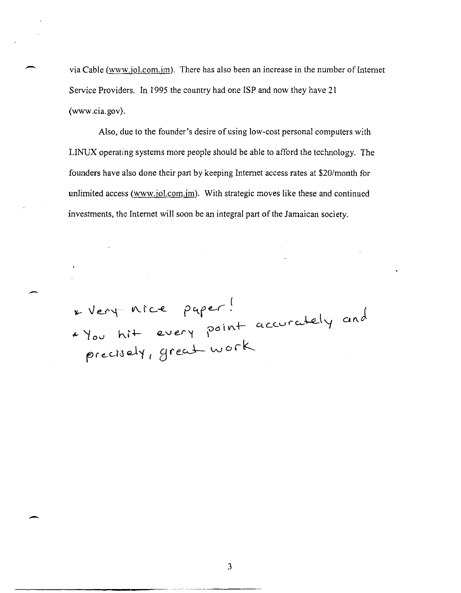via Cable (www.jol.com.jm). There has also been an increase in the number of Internet Service Providers. In 1995 the country had one ISP and now they have 21 (www.cia.gov).

Also, due to the founder's desire of using low-cost personal computers with LINUX operating systems more people should be able to afford the technology. The founders have also done their part by keeping Internet access rates at *\$20/month* for unlimited access (www.jol.com.jm). With strategic moves like these and continued investments, the Internet will soon be an integral part of the Jamaican society .

<sup>~</sup>*'t* Ov h.1+  $precis$ ery accurately

 $\leftarrow$ 

-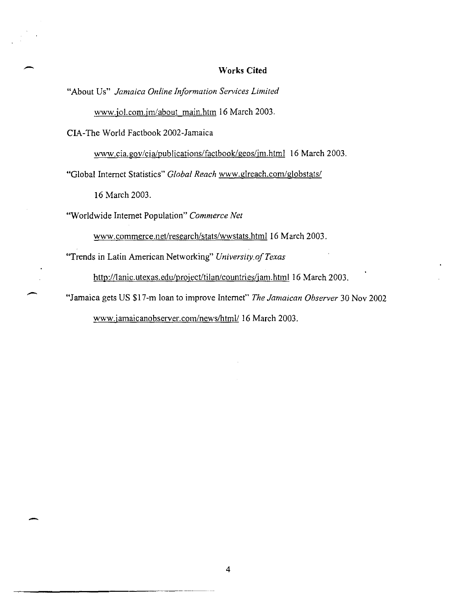## **Works Cited**

"About Us" *Jamaica Online Information Services Limited* 

www.jol.com.jm/about\_main.htm 16 March 2003.

**CIA-The** World Factbook 2002-Jamaica

www.cia.gov/cia/publications/factbook/geos/jm.html 16 March 2003.

"Global Internet Statistics" *Global Reach* www.gireach.com/globstats/

16 March 2003.

-

 $\overline{\phantom{a}}$ 

"Worldwide Internet Population" *Commerce Net* 

www.commerce.net/research/stats/wwstats.html 16 March 2003.

"Trends in Latin American Networking" *University.afTexas* 

http://lanic.utexas.edu/project/tilan/countries/jam.html 16 March 2003.

"Jamaica gets US \$17-m loan to improve Internet" *The Jamaican Observer* 30 Nov 2002

www.jamaicanobserver.com/news/html/ 16 March 2003.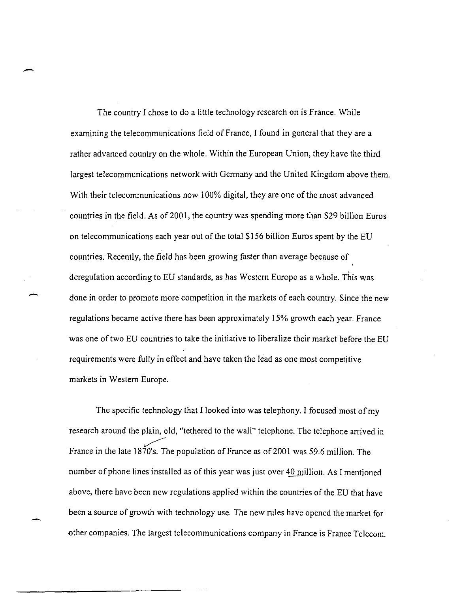The country I chose to do a little technology research on is France. While examining the telecommunications field of France, I found in general that they are a rather advanced country on the whole. Within the European Union, they have the third largest telecommunications network with Germany and the United Kingdom above them. With their telecommunications now 100% digital, they are one of the most advanced countries in the field. As of 2001, the country was spending more than \$29 billion Euros on telecommunications each year out of the total \$ I 56 billion Euros spent by the EU countries. Recently, the field has been growing faster than average because of deregulation according to EU standards, as has Western Europe as a whole. This was done in order to promote more competition in the markets of each country. Since the new regulations became active there has been approximately 15% growth each year. France was one of two EU countries to take the initiative to liberalize their market before the EU requirements were fully in effect and have taken the lead as one most competitive markets in Western Europe.

-

The specific technology that I looked into was telephony. I focused most of my research around the plain, old, "tethered to the wall" telephone. The telephone arrived in France in the late  $1870's$ . The population of France as of 2001 was 59.6 million. The number of phone lines installed as of this year was just over 40 million. As I mentioned above, there have been new regulations applied within the countries of the EU that have been a source of growth with technology use. The new rules have opened the market for other companies. The largest telecommunications company in France is France Telecom.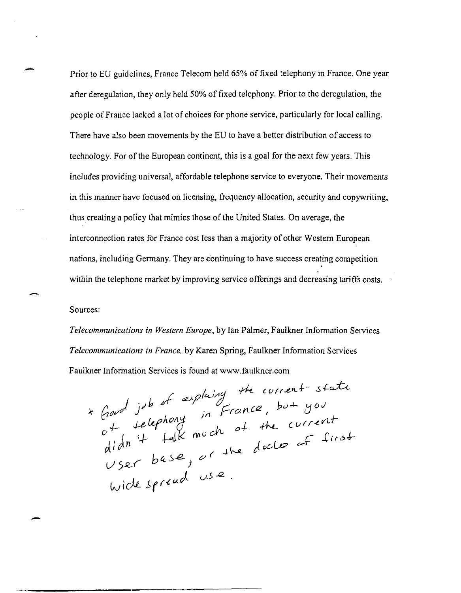Prior to EU guidelines, France Telecom held 65% of fixed telephony in France. One year after deregulation, they only held 50% of fixed telephony. Prior to the deregulation, the people of France lacked a lot of choices for phone service, particularly for local calling. There have also been movements by the EU to have a better distribution of access to technology. For of the European continent, this is a goal for the next few years. This includes providing universal, affordable telephone service to everyone. Their movements in this manner have focused on licensing, frequency allocation, security and copywriting, thus creating a policy that mimics those of the United States. On average, the interconnection rates for France cost less than a majority of other Western European nations, including Germany. They are continuing to have success creating competition within the telephone market by improving service offerings and decreasing tariffs costs.

Sources:

----------------.------------.------------

*Telecommunications in Western Europe,* by Ian Palmer, Faulkner Information Services *Telecommunications in France,* by Karen Spring, Faulkner Information Services Faulkner Information Services is found at www.faulkner.com

*V).Q..f h ((.,).e..* <sup>j</sup> Wick *J,f(.{UJ. l,)..5..12- •* 

-

-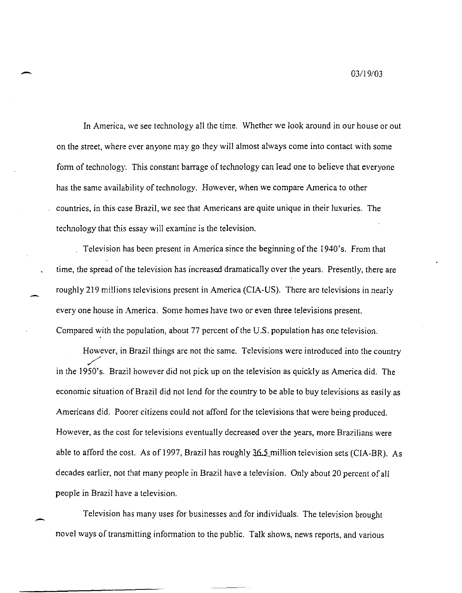- *03119/03* 

In America, we see technology all the time. Whether we look around in our house or out on the street, where ever anyone may go they will almost always come into contact with some form of technology. This constant barrage of technology can lead one to believe that everyone has the same availability of technology. However, when we compare America to other countries, in this case Brazil, we see that Americans are quite unique in their luxuries. The technology that this essay will examine is the television.

Television has been present in America since the beginning of the 1940's. From that time, the spread of the television has increased dramatically over the years. Presently, there are roughly 219 millions televisions present in America (CIA-US). There are televisions in nearly everyone house in America. Some homes have two or even three televisions present. Compared with the population, about 77 percent of the U.S. population has one television.

However, in Brazil things are not the same. Televisions were introduced into the country lines. in the 1950's. Brazil however did not pick up on the television as quickly as America did. The economic situation of Brazil did not lend for the country to be able to buy televisions as easily as Americans did. Poorer citizens could not afford for the televisions that were being produced. However, as the cost for televisions eventually decreased over the years, more Brazilians were able to afford the cost. As of 1997, Brazil has roughly  $36.5$  million television sets (CIA-BR). As decades earlier, not that many people in Brazil have a television. Only about 20 percent of all people in Brazil have a television.

Television has many uses for businesses and for individuals. The television brought novel ways of transmitting information to the public. Talk shows, news reports, and various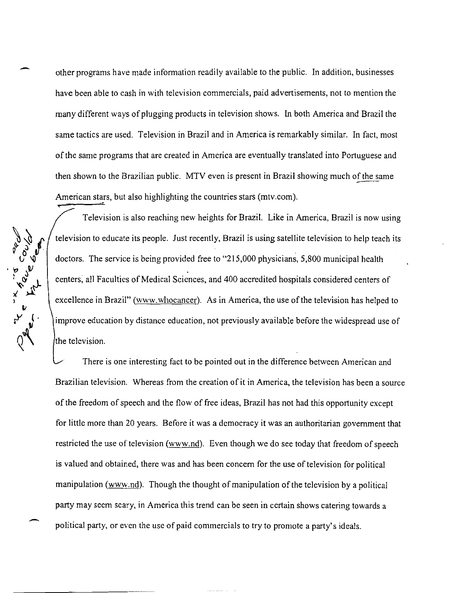other programs have made information readily available to the public. In addition, businesses have been able to cash in with television commercials, paid advertisements, not to mention the many different ways of plugging products in television shows. In both America and Brazil the same tactics are used. Television in Brazil and in America is remarkably similar. In fact, most of the same programs that are created in America are eventually translated into Portuguese and then shown to the Brazilian public. MTV even is present in Brazil showing much of the same American stars, but also highlighting the countries stars (mtv.com).



Television is also reaching new heights for Brazil. Like in America, Brazil is now using television to educate its people. Just recently, Brazil is using satellite television to help teach its doctors. The service is being provided free to "215,000 physicians, 5,800 municipal health centers, all Faculties of Medical Sciences, and 400 accredited hospitals considered centers of excellence in Brazil" (www.whocancer). As in America, the use of the television has helped to improve education by distance education, not previously available before the widespread use of the television.

There is one interesting fact to be pointed out in the difference between American and Brazilian television. Whereas from the creation of it in America, the television has been a source of the freedom of speech and the flow of free ideas, Brazil has not had this opportunity except for little more than 20 years. Before it was a democracy it was an authoritarian government that restricted the use of television (www.nd). Even though we do see today that freedom of speech is valued and obtained, there was and has been concern for the use of television for political manipulation ( $\frac{www.nd)}{n}$ . Though the thought of manipulation of the television by a political party may seem scary, in America this trend can be seen in certain shows catering towards a political party, or even the use of paid commercials to try to promote a party's ideals.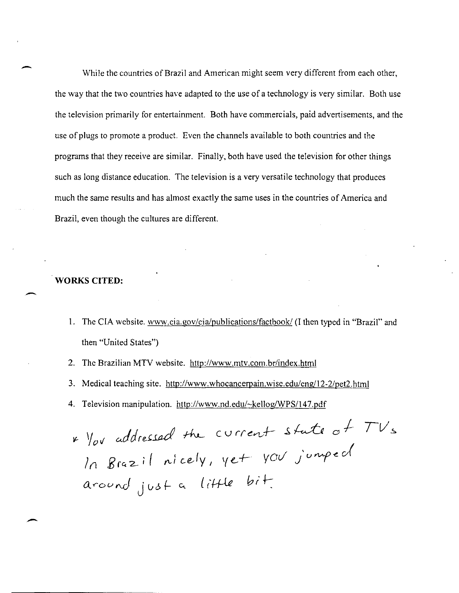While the countries of Brazil and American might seem very different from each other, the way that the two countries have adapted to the use of a technology is very similar. Both use the television primarily for entertainment. Both have commercials, paid advertisements, and the use of plugs to promote a product. Even the channels available to both countries and the programs that they receive are similar. Finally, both have used the television for other things such as long distance education. The television is a very versatile technology that produces much the same results and has almost exactly the same uses in the countries of America and Brazil, even though the cultures are different.

## **WORKS CITED:**

-

-

-

- 1. The CIA website. www.cia.gov/cia/publications/factbook/ (I then typed in "Brazil" and then "United States")
- 2. The Brazilian MTV website. *http://www.mtv.com.br/index.html*
- 3. Medical teaching site. http://www.whocancerpain.wise.edu/eng/12-2/pet2.html
- 4. Television manipulation. http://www.nd.edu/~kellog/WPS/147.pdf

 $ln$  Brazil nicely, c V rre~+- J, ~ *0* l- \[ e.. + *VOt/* J u *YJ..>.f* ~ J around just a little bit.  $TV$ s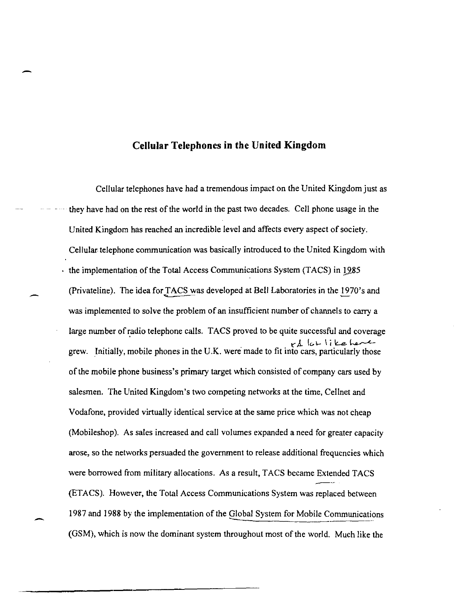## **Cellular Telephones in the United Kingdom**

-

-

Cellular telephones have had a tremendous impact on the United Kingdom just as they have had on the rest of the world in the past two decades. Cell phone usage in the United Kingdom has reached an incredible level and affects every aspect of society. Cellular telephone communication was basically introduced to the United Kingdom with  $\cdot$  the implementation of the Total Access Communications System (TACS) in 1985 (Privateline). The idea for TACS was developed at Bell Laboratories in the 1970's and was implemented to solve the problem of an insufficient number of channels to carry a large number of radio telephone calls. TACS proved to be quite successful and coverage grew. Initially, mobile phones in the U.K. were' made to fit into "A. cars, Ie,\. ssful and coverage<br>- نا ا ست<br>particularly those of the mobile phone business's primary target which consisted of company cars used by salesmen. The United Kingdom's two competing networks at the time, Cellnet and Vodafone, provided virtually identical service at the same price which was not cheap (Mobileshop). As sales increased and call volumes expanded a need for greater capacity arose, so the networks persuaded the government to release additional frequencies which were borrowed from military allocations. As a result, TACS became Extended TACS (ETACS). However, the Total Access Communications System was replaced between 1987 and 1988 by the implementation of the Global System for Mobile Communications **- ..**  (GSM), which is now the dominant system throughout most of the world. Much like the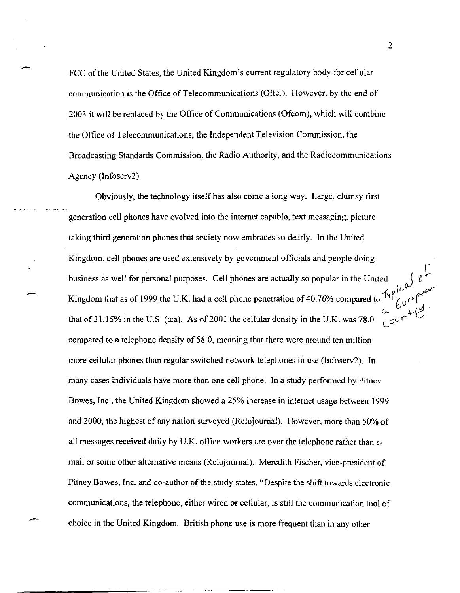FCC of the United States, the United Kingdom's current regulatory body for cellular communication is the Office of Telecommunications (Oftel). However, by the end of 2003 it will be replaced by the Office of Communications (Ofcom), which will combine the Office of Telecommunications, the Independent Television Commission, the Broadcasting Standards Commission, the Radio Authority, and the Radiocommunications Agency (Infoserv2).

Obviously, the technology itself has also come a long way. Large, clumsy first generation cell phones have evolved into the internet capabl6, text messaging, picture taking third generation phones that society now embraces so dearly. In the United Kingdom, cell phones are used extensively by government officials and people doing business as well for personal purposes. Cell phones are actually so popular in the United Superverse Superverse Superverse Superverse Superverse Superverse Superverse Superverse Superverse Superverse Superverse Superverse Kingdom that as of 1999 the U.K. had a cell phone penetration of 40.76% compared to  $\frac{f\gamma\rho^2c^{\omega}}{c^3\rho^2}$ v... Anguoni mat as of 1999 the U.K. had a cell phone penetration of 40.70% compared to  $V$   $V$   $V$ .<br>that of 31.15% in the U.S. (tca). As of 2001 the cellular density in the U.K. was 78.0  $V$ compared to a telephone density of 58.0, meaning that there were around ten million more cellular phones than regular switched network telephones in use (Infoserv2). In many cases individuals have more than one cell phone. In a study performed by Pitney Bowes, Inc., the United Kingdom showed a 25% increase in internet usage between 1999 and 2000, the highest of any nation surveyed (Relojournal). However, more than 50% of all messages received daily by U.K. office workers are over the telephone rather than email or some other alternative means (Relojournal). Meredith Fischer, vice-president of Pitney Bowes, Inc. and co-author of the study states, "Despite the shift towards electronic communications, the telephone, either wired or cellular, is still the communication tool of choice in the United Kingdom. British phone use is more frequent than in any other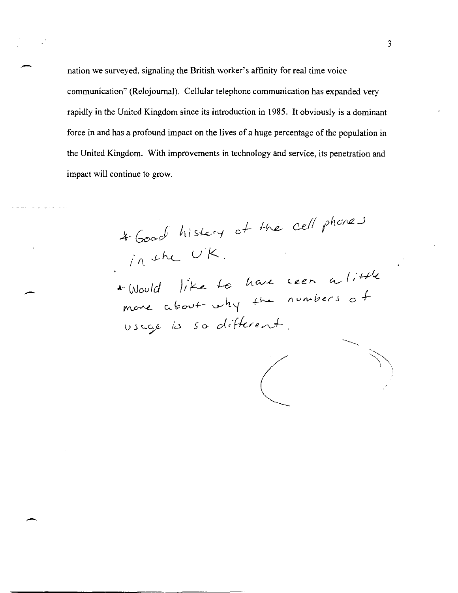nation we surveyed, signaling the British worker's affinity for real time voice communication" (Relojournal). Cellular telephone communication has expanded very rapidly in the United Kingdom since its introduction in 1985. It obviously is a dominant force in and has a profound impact on the lives of a huge percentage of the population in the United Kingdom. With improvements in technology and service, its penetration and impact will continue to grow.

# Good history of the cell phones<br>in the UK.

\*Would like to have seen a little<br>move about why the numbers of usage is so different.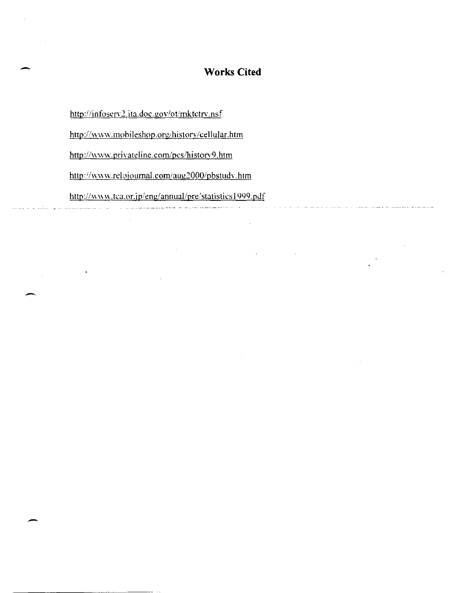## **Works Cited**

http://infoserv2.ita.doc.gov/ot/mktetry.nsf

http://www.mobileshop.org/history/cellular.htm

http://www.privateline.com/pcs/history9.htm

http://www.relojournal.com/aug2000/pbstudy.htm

http://www.tca.or.jp/eng/annual/pre/statistics1999.pdf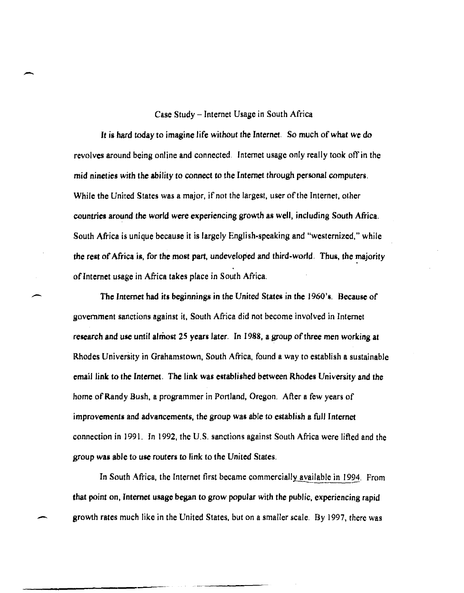### Case Study -Internet Usage in South Africa

-

-

It is hard today to imagine life without the Internet. So much of *what* we do revolves around being online and connected. Internet usage only really took off in the mid nineties with the ability to connect to the Internet through personal computers. While the United States was a major, if not the largest, user of the Internet, other countries around the world were experiencing growth as well, including South Africa. South Africa is unique because it is largely English-speaking and "westernized," while the rest of Africa is, for the most part, undeveloped and third-world. Thus, the majority of Internet usage in Africa takes place in South Africa.

The Internet had its beginnings in the United States in the 1960's. Because of government sanctions against it, South Africa did not become involved in Internet research and use until almost 25 years later. In 1988, a group of three men working at Rhodes University in Grahamstown, South Africa, found a way to establish a sustainable email link to the Internet. The link was established between Rhodes University and the home of Randy Bush, a programmer in Portland, Oregon. After a few years of improvements and advancements, the group was able to establish a full Internet connection in 1991. In 1992, the U.S. sanctions against South Africa were lifted and the group was able to use routers to link to the United States.

In South Africa, the Internet first became commercially available in 1994. From that point on, Internet usage began to grow popular with the public, experiencing rapid growth rates much like in the United States, but on a smaller scale. By 1997, there was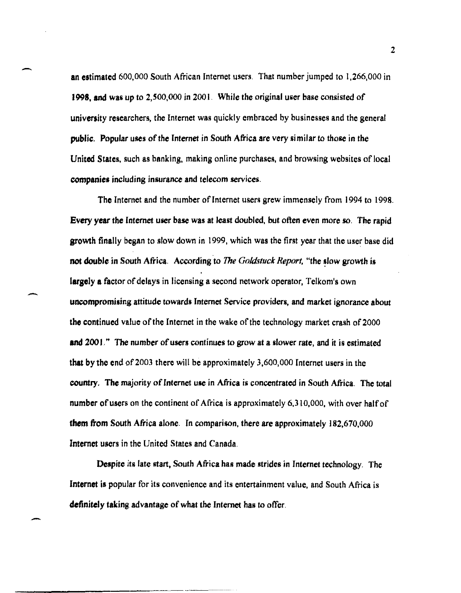an estimated 600,000 South African Internet users. That number jumped to 1,266,000 in 1998, and was up to 2,500,000 in 2001. While the original user base consisted of university researchers, the Internet was quickly embraced by businesses and the general public. Popular uses of the Internet in South Africa are very si milar to those in the United States, such as banking, making online purchases, and browsing websites of local companies including insurance and telecom services.

-

-

The Internet and the number of Internet users grew immensely from 1994 to 1998. Every year the Internet user base was at least doubled, but often even more so. The rapid growth finally began to slow down in 1999, which was the first year that the user base did not double in South Africa. According to *The Goldstuck Report*, "the slow growth is largely a factor of delays in licensing a second network operator, Telkom's own uncompromising attitude towards Internet Service providers, and market ignorance about the continued value of the Internet in the wake of the technology market crash of 2000 and 2001." The number of users continues to grow at a slower rate, and it is estimated that by the end of 2003 there will be approximately  $3,600,000$  Internet users in the country. The majority of Internet use in Africa is concentrated in South Africa. The total number of users on the continent of Africa is approximately 6,310,000, with over half of them from South Africa alone. In comparison, there are approximately 182,670,000 Internet users in the United States and Canada.

Despite its late start, South Africa has made strides in Internet technology. The Internet is popular for its convenience and its entertainment value, and South Africa is definitely taking advantage of what the Internet has to offer.

2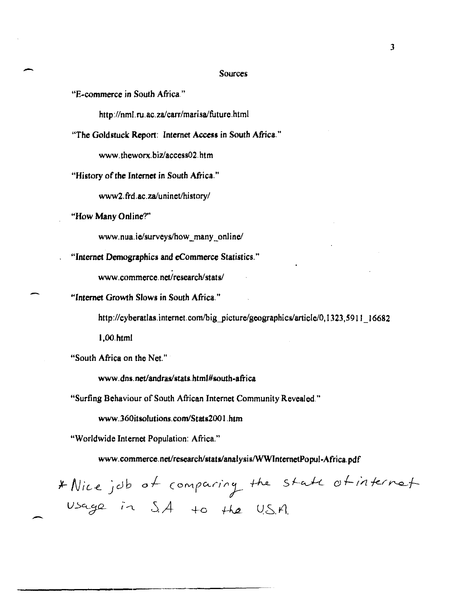#### **Sources**

"E-commerce in South Africa."

http://nml.ru.ac.za/carr/marisa/future.html

"The Goldstuck Report: Internet Access in South Africa."

www.theworx.biz/access02.htm

"History of the Internet in South Africa."

www2.frd.ac.za/uninet/history/

"How Many Online?"

www.nua.ie/surveys/how many online/

"Internet Demographics and eCommerce Statistics."

www.commerce.net/research/stats/

"Internet Growth Slows in South Africa."

http://cyberatlas.internet.com/big\_picture/geographics/article/0,1323,5911 16682

 $1.00.html$ 

"South Africa on the Net."

www.dns.net/andras/stats.html#south-africa

"Surfing Behaviour of South African Internet Community Revealed."

www.360itsolutions.com/Stats2001.htm

"Worldwide Internet Population: Africa."

www.commerce.net/research/stats/analysis/WWInternetPopul-Africa.pdf

\* Nice job of comparing the state of internet Usage in  $SA$  to the US.A.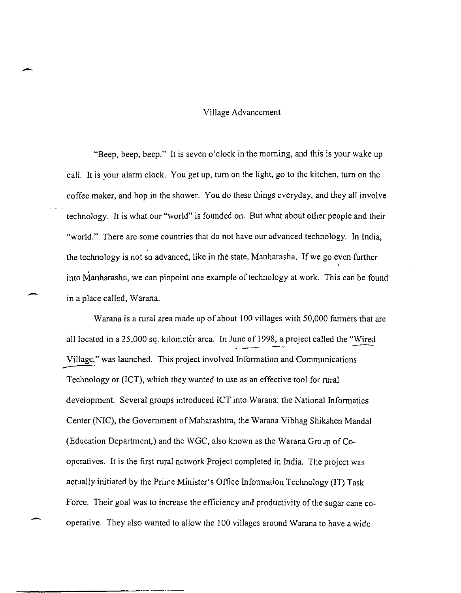#### Village Advancement

-

-

-

"Beep, beep, beep." It is seven o'clock in the morning, and this is your wake up call. It is your alarm clock. You get up, tum on the light, go to the kitchen, tum on the coffee maker, and hop in the shower. You do these things everyday, and they all involve technology. It is what our "world" is founded on. But what about other people and their "world." There are some countries that do not have our advanced technology. In India, the technology is not so advanced, like in the state, Manharasha. If we go even further into Manharasha, we can pinpoint one example of technology at work. This can be found in a place called, Warana.

Warana is a rural area made up of about 100 villages with 50,000 farmers that are all located in a 25,000 sq. kilometer area. In June of 1998, a project called the "Wired Village," was launched. This project involved Information and Communications Technology or (ICT), which they wanted to use as an effective tool for rural development. Several groups introduced ICT into Warana: the National Informatics Center (NIC), the Government of Maharashtra, the Warana Vibhag Shikshen Mandal (Education Department,) and the WGC, also known as the Warana Group of Cooperatives. It is the first rural network Project completed in India. The project was actually initiated by the Prime Minister's Office Information Technology (IT) Task Force. Their goal was to increase the efficiency and productivity of the sugar cane cooperative. They also wanted to allow the 100 villages around Warana to have a wide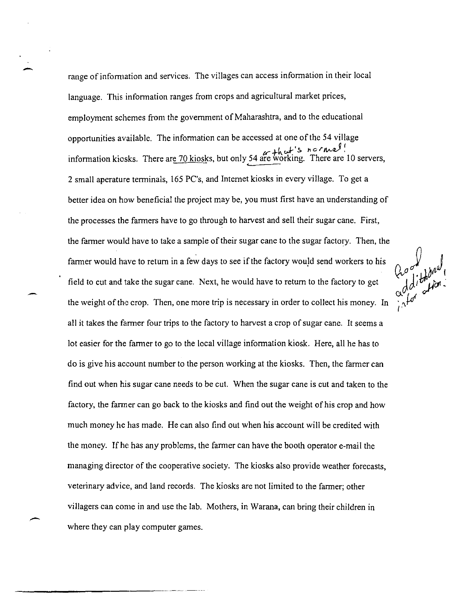range of inforrnation and services. The villages can access infonnation in their local language. This information ranges from crops and agricultural market prices, employment schemes from the government of Maharashtra, and to the educational opportunities available. The infonnation can be accessed at one of the 54 village information kiosks. There ar<u>e 70 kiosks</u>, but only 54 are working. There are 10 servers, 2 small aperature tenninals, 165 PC's, and Internet kiosks in every village. To get a better idea on how beneficial the project may be, you must first have an understanding of the processes the fanners have to go through to harvest and sell their sugar cane. First, the farmer would have to take a sample of their sugar cane to the sugar factory. Then, the<br>farmer would have to return in a few days to see if the factory would send workers to his<br>field to cut and take the sugar cane. Ne farmer would have to return in a few days to see if the factory would send workers to his field to cut and take the sugar cane. Next, he would have to return to the factory to get the weight of the crop. Then, one more trip is necessary in order to collect his money. In all it takes the fanner four trips to the factory to harvest a crop of sugar cane. It seems a lot easier for the fanner to go to the local village infonnation kiosk. Here, all he has to do is give his account number to the person working at the kiosks. Then, the fanner can find out when his sugar cane needs to be cut. When the sugar cane is cut and taken to the factory, the farmer can go back to the kiosks and find out the weight of his crop and how much money he has made. He can also find out when his account will be credited with the money. If he has any problems, the fanner can have the booth operator e-mail the managing director of the cooperative society. The kiosks also provide weather forecasts, veterinary advice, and land records. The kiosks are not limited to the fanner; other villagers can come in and use the lab. Mothers, in Warana, can bring their children in where they can play computer games.

-

-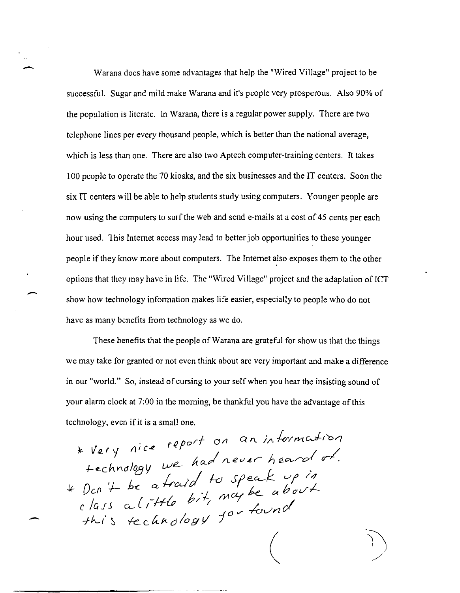Warana does have some advantages that help the "Wired Village" project to be successful. Sugar and mild make Warana and it's people very prosperous. Also 90% of the population is literate. In Warana, there is a regular power supply. There are two telephone lines per every thousand people, which is better than the national average, which is less than one. There are also two Aptech computer-training centers. It takes 100 people to operate the 70 kiosks, and the six businesses and the IT centers. Soon the six IT centers will be able to help students study using computers. Younger people are now using the computers to surf the web and send e-mails at a cost of 45 cents per each hour used. This Internet access may lead to better job opportunities to these younger people if they know more about computers. The Internet also exposes them to the other options that they may have in life. The "Wired Village" project and the adaptation of ICT - show how technology information makes life easier, especially to people who do not have as many benefits from technology as we do.

These benefits that the people of Warana are grateful for show us that the things we may take for granted or not even think about are very important and make a difference in our "world." So, instead of cursing to your self when you hear the insisting sound of your alarm clock at 7:00 in the morning, be thankful you have the advantage of this technology, even if it is a small one.

\* Very nice report on an information technology we had never heard of.<br>
\* Dcn't be a traid to speak up in<br>
class a little bit, may be about<br>
this technology for found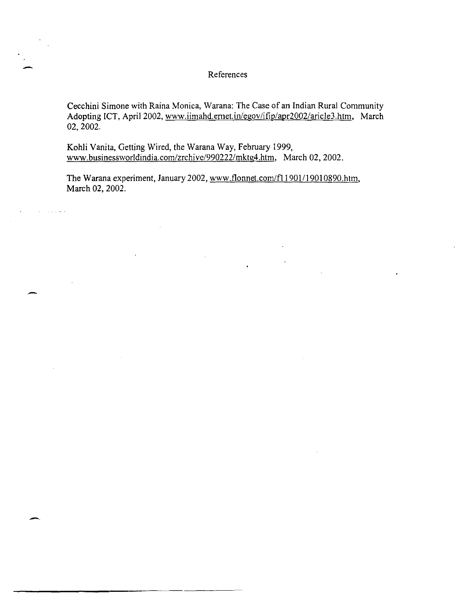## References

Cecchini Simone with Raina Monica, Warana: The Case of an Indian Rural Community Adopting ICT, April 2002, www.iimahd.emet.in/egov/ifip/apr2002/aricle3.htm. March 02,2002.

Kohli Vanita, Getting Wired, the Warana Way, February 1999, www.businessworldindia.com/zrchive/990222/mktg4.htm. March 02, 2002.

.<br>—

-

The Warana experiment, January 2002, www.flonnet.com/f11901/19010890.htm, March 02, 2002.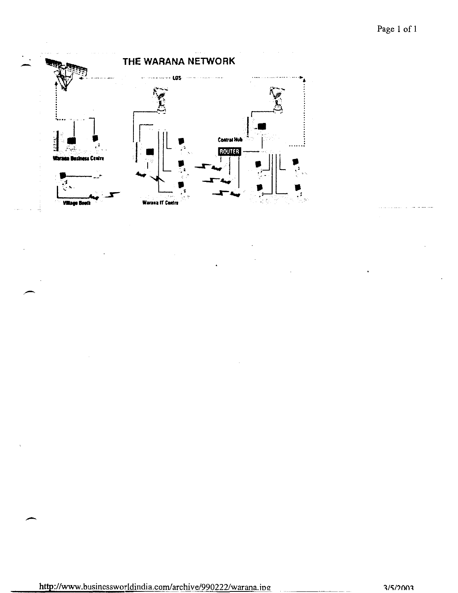

http://www.businessworldindia.com/archive/990222/warana.ipg

 $3/5/2003$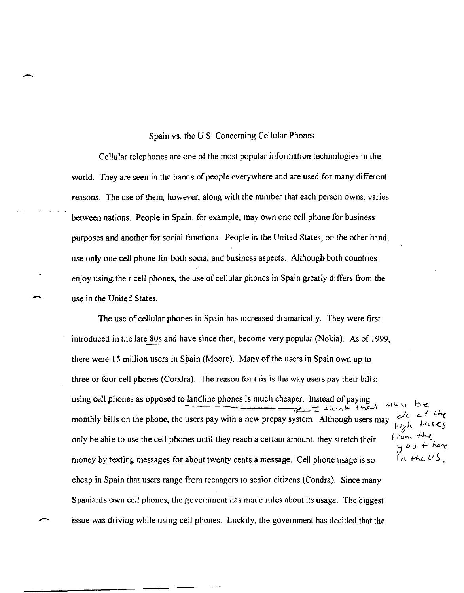## Spain vs. the U.S. Concerning Cellular Phones

-

Cellular telephones are one of the most popular information technologies in the world. They are seen in the hands of people everywhere and are used for many different reasons. The use of them, however, along with the number that each person owns, varies between nations. People in Spain, for example, may own one cell phone for business purposes and another for social functions. People in the United States, on the other hand, use only one cell phone for both social and business aspects. Although both countries enjoy using their cell phones, the use of cellular phones in Spain greatly differs from the use in the United States.

The use of cellular phones in Spain has increased dramatically. They were first introduced in the late 80s and have since then, become very popular (Nokia). As of 1999, there were 15 million users in Spain (Moore). Many of the users in Spain own up to three or four cell phones (Condra). The reason for this is the way users pay their bills; using cell phones as opposed to landline phones is much cheaper. Instead of paying  $\mathcal{L}$  this is the state  $\mathcal{L}$  this is the state  $\mathcal{L}$  that  $\mathcal{L}$  the  $\mathcal{L}$  range  $\mathcal{L}$  the  $\mathcal{L}$  the  $\mathcal{L}$  the  $\math$ monthly bills on the phone, the users pay with a new prepay system. Although users may high takes<br>from the<br>gout here only be able to use the cell phones until they reach a certain amount, they stretch their money by texting messages for about twenty cents a message. Cell phone usage is so  $\int_{\Lambda}$  the US cheap in Spain that users range from teenagers to senior citizens (Condra). Since many Spaniards own cell phones, the government has made rules about its usage. The biggest issue was driving while using cell phones. Luckily, the government has decided that the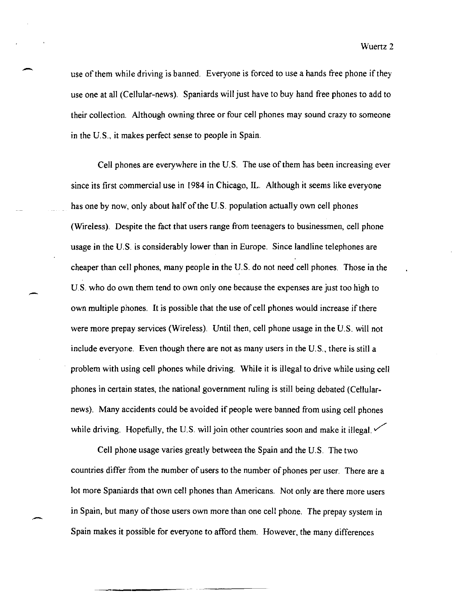Wuertz 2

use of them while driving is banned. Everyone is forced to use a hands free phone if they use one at all (Cellular-news). Spaniards will just have to buy hand free phones to add to their collection. Although owning three or four cell phones may sound crazy to someone in the U.S., it makes perfect sense to people in Spain.

-

,-

Cell phones are everywhere in the U. S. The use of them has been increasing ever since its first commercial use in 1984 in Chicago, IL. Although it seems like everyone has one by now, only about half of the U.S. population actually own cell phones (Wireless). Despite the fact that users range from teenagers to businessmen, cell phone usage in the U.S. is considerably lower than in Europe. Since land line telephones are cheaper than cell phones, many people in the U.S. do not need cell phones. Those in the US. who do own them tend to own only one because the expenses are just too high to own multiple phones. It is possible that the use of cell phones would increase if there were more prepay services (Wireless). Until then, cell phone usage in the U.S. will not include everyone. Even though there are not as many users in the U.S., there is still a problem with using cell phones while driving. While it is illegal to drive while using cell phones in certain states, the national government ruling is still being debated (Cellularnews). Many accidents could be avoided if people were banned from using cell phones while driving. Hopefully, the U.S. will join other countries soon and make it illegal.  $\checkmark$ 

Cell phone usage varies greatly between the Spain and the U.S. The two countries differ from the number of users to the number of phones per user. There are a lot more Spaniards that own cell phones than Americans. Not only are there more users in Spain, but many of those users own more than one cell phone. The prepay system in Spain makes it possible for everyone to afford them. However, the many differences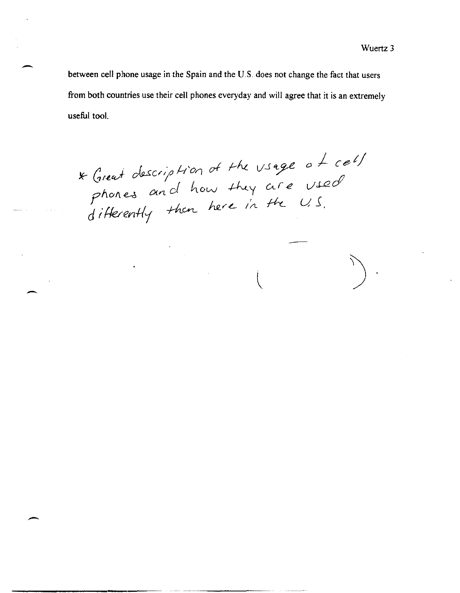between cell phone usage in the Spain and the U.S. does not change the fact that users from both countries use their cell phones everyday and will agree that it is an extremely useful tool.

\* Great description of the usage of cell<br>phones and how they are used<br>differently than here in the U.S.

-

-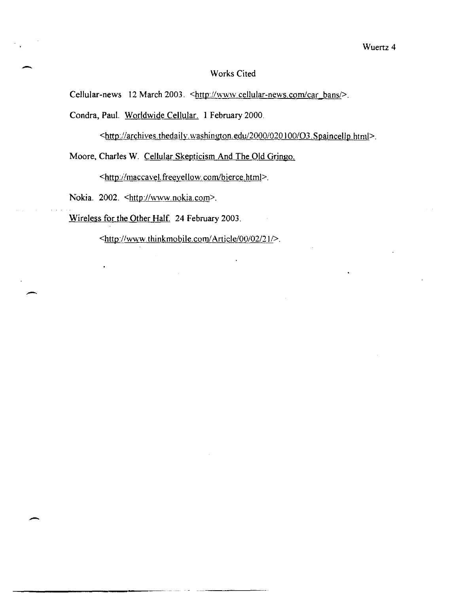#### Wuertz 4

## Works Cited

Cellular-news 12 March 2003. <http://www.cellular-news.com/car\_bans/>.

Condra, Paul. Worldwide Cellular. 1 February 2000.

<httpi/archives.thedaily.washington.edu/20001020 I *00103.* S paincellp. html>.

Moore, Charles W. Cellular Skepticism And The Old Gringo.

<http://maccavel.freeyellow.com/bierce.html>.

Nokia. 2002. <http://www.nokia.com>.

-

-

----------------

Wireless for the Other Half. 24 February 2003.

<http://www.thinkmobile.com/Article/00/02/21/>.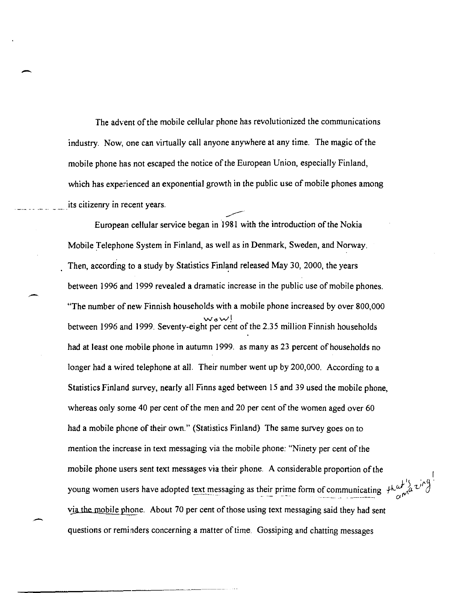The advent of the mobile cellular phone has revolutionized the communications industry. Now, one can virtually call anyone anywhere at any time. The magic of the mobile phone has not escaped the notice of the European Union, especially Finland, which has experienced an exponential growth in the public use of mobile phones among its citizenry in recent years.

-

European cellular service began in 1981 with the introduction of the Nokia Mobile Telephone System in Finland, as well as in Denmark, Sweden, and Norway. Then, according to a study by Statistics Finland released May 30, 2000, the years between 1996 and 1999 revealed a dramatic increase in the public use of mobile phones. "The number of new Finnish households with a mobile phone increased by over 800,000 wow! between 1996 and 1999. Seventy-eight per cent of the 2.35 million Finnish households had at least one mobile phone in autumn 1999. as many as 23 percent of households no longer had a wired telephone at all. Their number went up by 200,000. According to a Statistics Finland survey, nearly all Finns aged between 15 and 39 used the mobile phone, whereas only some 40 per cent of the men and 20 per cent of the women aged over 60 had a mobile phone of their own." (Statistics Finland) The same survey goes on to mention the increase in text messaging via the mobile phone: "Ninety per cent of the mobile phone users sent text messages via their phone. A considerable proportion of the young women users have adopted text messaging as their prime form of communicating  $\int_{C} \int_{C} \int_{C}^{C} \int_{C}^{C}$ vja the mobile phone. About 70 per cent of those using text messaging said they had sent questions or reminders concerning a matter of time. Gossiping and chatting messages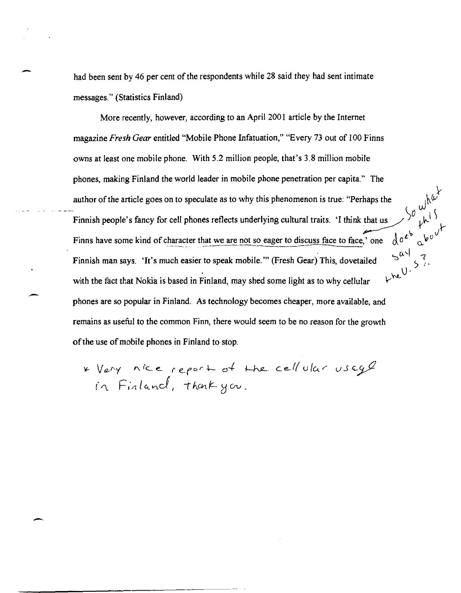had been sent by 46 per cent of the respondents while 28 said they had sent intimate messages." (Statistics Finland)

More recently, however, according to an April 200 I article by the Internet magazine *Fresh Gear* entitled "Mobile Phone Infatuation," "Every 73 out of 100 Finns owns at least one mobile phone. With 5.2 million people, that's 3.8 million mobile phones, making Finland the world leader in mobile phone penetration per capita." The author of the article goes on to speculate as to why this phenomenon is true: "Perhaps the Finnish people's fancy for cell phones reflects underlying cultural traits. 'I think that us Finns have some kind of character that we are not so eager to discuss face to face,' one  $5^{\alpha}$  ,  $0.5$  is *V""-* Finnish man says. 'It's much easier to speak mobile. '" (Fresh Gear) This, dovetailed with the fact that Nokia is based in Finland, may shed some light as to why cellular phones are so popular in Finland. As technology becomes cheaper, more available, and remains as useful to the common Finn, there would seem to be no reason for the growth of the use of mobile phones in Finland to stop.

 $\,\,$ 

\?- V *I2-"Y* I'\. '-c *e- r e- for* -I- d..f- i-hP- c. e.,.( ( u fc.... f' *V* .5 '-;va in Finland, thank you.

.-

-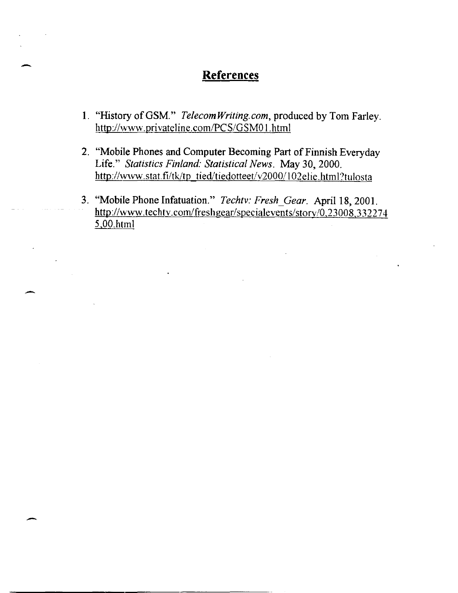## **References**

-

-

-

- 1. "History ofGSM." *Telecom Writing. com,* produced by Tom Farley. http://www.privateline.com/PCS/GSM01.html
- 2. "Mobile Phones and Computer Becoming Part of Finnish Everyday Life." *Statistics Finland: Statistical News.* May 30,2000. http://www.stat.fi/tk/tp\_tied/tiedotteet/v2000/102elie.html?tulosta
- 3. "Mobile Phone Infatuation." *Techtv: Fresh\_Gear.* April 18, 2001. http://www.techtv.com/freshgear/specialevents/story/0.23008.332274 5,00.hlml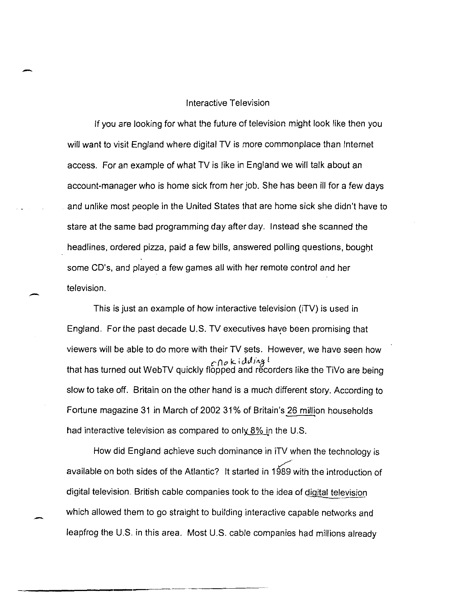## Interactive Television

-

-

-

If you are looking for what the future of television might look like then you will want to visit England where digital TV is more commonplace than Internet access. For an example of what TV is like in England we will talk about an account-manager who is home sick from her job. She has been ill for a few days and unlike most people in the United States that are home sick she didn't have to stare at the same bad programming day after day. Instead she scanned the headlines, ordered pizza, paid a few bills, answered polling questions, bought some CD's, and played a few games all with her remote control and her television.

This is just an example of how interactive television (iTV) is used in England. For the past decade U.S. TV executives haye been promising that viewers will be able to do more with their TV sets. However, we have seen how *c* (1 *i7* k. i *cJ.J* illg l that has turned out WebTV quickly flopped and recorders like the TiVo are being slow to take off. Britain on the other hand is a much different story. According to Fortune magazine 31 in March of 200231% of Britain's 26 million households had interactive television as compared to only  $8\%$  in the U.S.

How did England achieve such dominance in iTV when the technology is .<br>مسمس available on both sides of the Atlantic? It started in 1989 with the introduction of digital television. British cable companies took to the idea of digital television which allowed them to go straight to building interactive capable networks and leapfrog the U.S. in this area. Most U.S. cable companies had millions already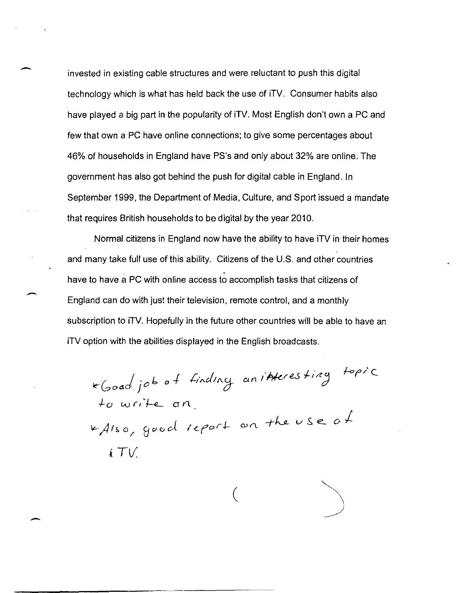invested in existing cable structures and were reluctant to push this digital technology which is what has held back the use of iTV. Consumer habits also have played a big part in the popularity of iTV. Most English don't own a PC and few that own a PC have online connections; to give some percentages about 46% of households in England have PS's and only about 32% are online. The government has also got behind the push for digital cable in England. In September 1999, the Department of Media, Culture, and Sport issued a mandate that requires British households to be digital by the year 2010.

Normal citizens in England now have the ability to have iTV in their homes and many take full use of this ability. Citizens of the U.S. and other countries have to have a PC with online access to accomplish tasks that citizens of England can do with just their television, remote control, and a monthly subscription to iTV. Hopefully in the future other countries will be able to have an iTV option with the abilities displayed in the English broadcasts.

\*Good job of finding anitheresting topic to write on KAIso, good report on the use of  $\frac{1}{2}T V$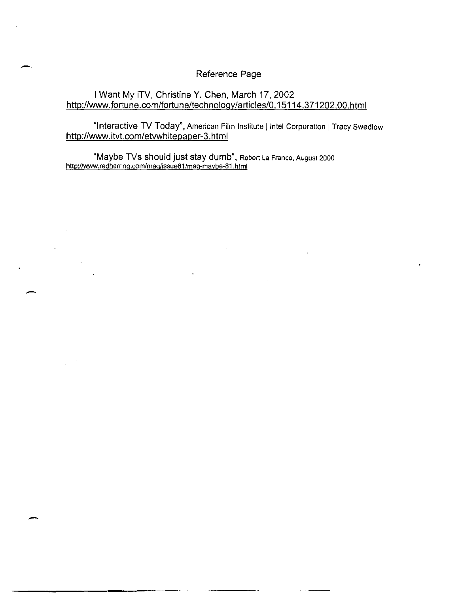## Reference Page

## I Want My iTV, Christine Y. Chen, March 17, 2002 http://www.fortune.com/fortune/technology/articies/0.15114.371202.00.html

"Interactive TV Today", American Film Institute | Intel Corporation | Tracy Swedlow http://www.itvt.com/etvwhitepaper-3.html

"Maybe TVs should just stay dumb", Robert La Franco. August 2000 htto:/Iwww.redherring.com/mag/issueB1/mag-maybe-B1.html

--

--

--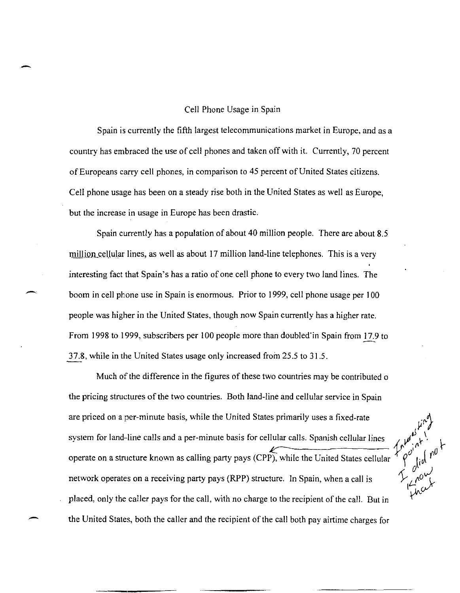#### Cell Phone Usage in Spain

-

Spain is currently the fifth largest telecommunications market in Europe, and as a country has embraced the use of cell phones and taken off with it. Currently, 70 percent of Europeans carry cell phones, in comparison to 45 percent of United States citizens. Cell phone usage has been on a steady rise both in the United States as well as Europe, but the increase in usage in Europe has been drastic.

Spain currently has a population of about 40 million people. There are about 8.5 million cellular lines, as well as about 17 million land-line telephones. This is a very interesting fact that Spain's has a ratio of one cell phone to every two land lines. The boom in cell phone use in Spain is enormous. Prior to 1999, cell phone usage per 100 people was higher in the United States, though now Spain currently has a higher rate. From 1998 to 1999, subscribers per 100 people more than doubled'in Spain from 17.9 to 37.8, while in the United States usage only increased from 25.5 to 31.5.

Much of the difference in the figures of these two countries may be contributed o the pricing structures of the two countries. Both land-line and cellular service in Spain system for land-line calls and a per-minute basis for cellular calls. Spanish cellular lines Hular calls. Spanish cellular lines  $\left\{\begin{matrix} \mu^{\mu} \\ \mu^{\nu} \end{matrix} \right\}_{n=0}^{N}$ operate on a structure known as calling party pays (CPP), while the United States cellular are priced on a per-minute basis, while the United States primarily uses a fixed-rate network operates on a receiving party pays (RPP) structure. In Spain, when a call is placed, only the caller pays for the call, with no charge to the recipient of the call. But in the United States, both the caller and the recipient of the call both pay airtime charges for

---,-----

~I'I  $\mathcal{L}$ ,  $\mathcal{L}^{\mathcal{O}}$ *,£..2* 0-1'  $\mu$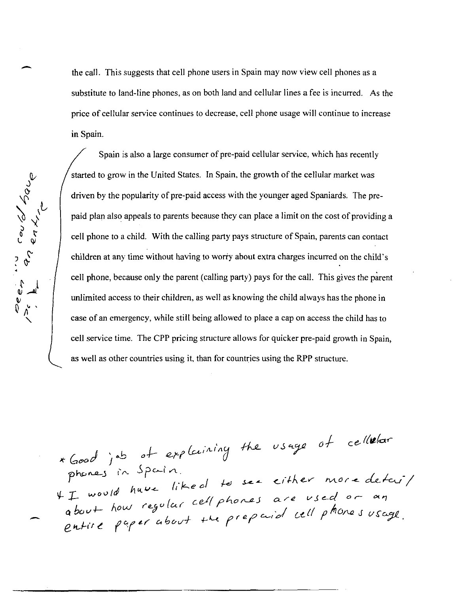the call. This suggests that cell phone users in Spain may now view cell phones as a substitute to land-line phones, as on both land and cellular lines a fee is incurred. As the price of cellular service continues to decrease, cell phone usage will continue to increase in Spain.

Deep in coupled bay

Spain is also a large consumer of pre-paid cellular service, which has recently started to grow in the United States. In Spain, the growth of the cellular market was driven by the popularity of pre-paid access with the younger aged Spaniards. The prepaid plan also appeals to parents because they can place a limit on the cost of providing a cell phone to a child. With the calling party pays structure of Spain, parents can contact children at any time without having to worry about extra charges incurred on the child's cell phone, because only the parent (calling party) pays for the call. This gives the parent unlimited access to their children, as well as knowing the child always has the phone in case of an emergency, while still being allowed to place a cap on access the child has to cell service time. The CPP pricing structure allows for quicker pre-paid growth in Spain, as well as other countries using it, than for countries using the RPP structure.

\* Good job of explaining the usage of cellelar<br>phones in Spain.<br>If would have liked to see either more detaily<br>about how regular cell phones are used or an<br>entire paper about the prepaid cell phones usage.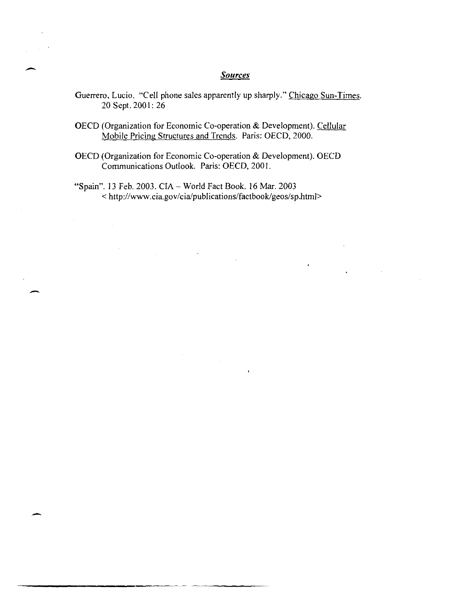# - *Sources*

- Guerrero, Lucio. "Cell phone sales apparently up sharply." Chicago Sun-Times. 20 Sept. 2001: 26
- OECD (Organization for Economic Co-operation & Development). Cellular Mobile Pricing Structures and Trends. Paris: OECD, 2000.
- OECD (Organization for Economic Co-operation & Development). OECD Communications Outlook. Paris: OECD, 2001.

<sup>~</sup>- ~--------

 $\ddot{\phantom{a}}$ 

"Spain". 13 Feb. 2003. CIA - World Fact Book. 16 Mar. 2003 < http://www.cia.gov/cia/publications/factbook/geos/sp.html>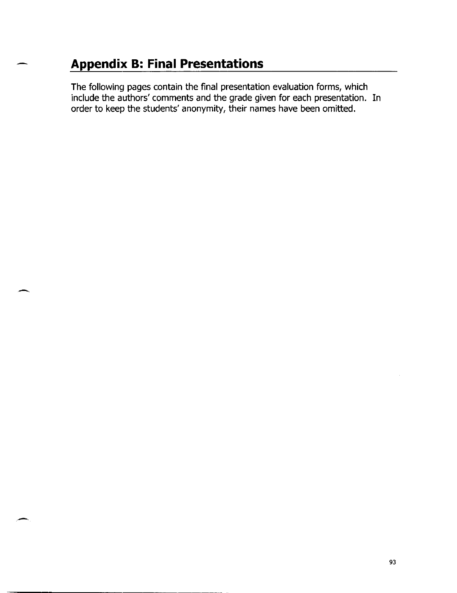## **Appendix B: Final Presentations**

-

-

The following pages contain the final presentation evaluation forms, which include the authors' comments and the grade given for each presentation. In order to keep the students' anonymity, their names have been omitted.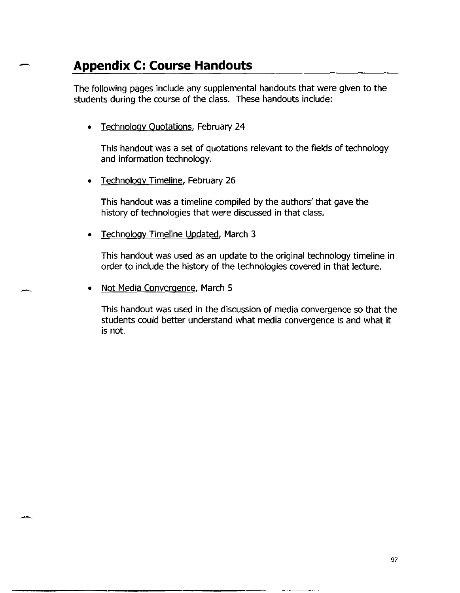## **Appendix C: Course Handouts**

-

-

-

The following pages include any supplemental handouts that were given to the students during the course of the class. These handouts include:

• Technologv Quotations, February 24

This handout was a set of quotations relevant to the fields of technology and information technology.

**Technology Timeline, February 26** 

This handout was a timeline compiled by the authors' that gave the history of technologies that were discussed in that class.

• Technology Timeline Updated, March 3

This handout was used as an update to the original technology timeline in order to include the history of the technologies covered in that lecture.

Not Media Convergence, March 5

This handout was used in the discussion of media convergence so that the students could better understand what media convergence is and what it is not.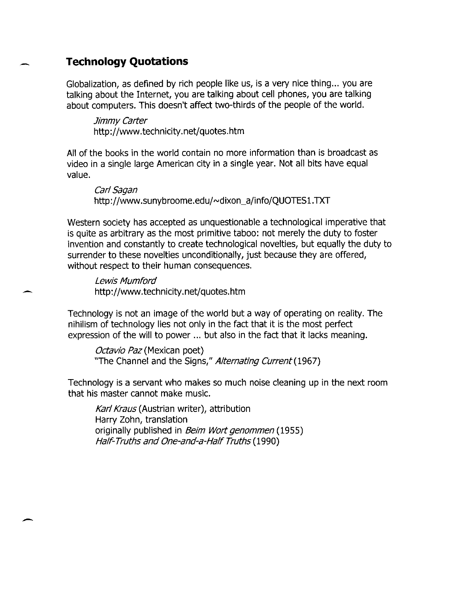## **Technology Quotations**

Globalization, as defined by rich people like us, is a very nice thing... you are talking about the Internet, you are talking about cell phones, you are talking about computers. This doesn't affect two-thirds of the people of the world.

Jimmy Carter http://www.technicity.net/quotes.htm

All of the books in the world contain no more information than is broadcast as video in a single large American city in a single year. Not all bits have equal value.

Carl Sagan http://www.sunybroome.edu/~dixon\_a/info/QUOTES1.TXT

Western society has accepted as unquestionable a technological imperative that is quite as arbitrary as the most primitive taboo: not merely the duty to foster invention and constantly to create technological novelties, but equally the duty to surrender to these novelties unconditionally, just because they are offered, without respect to their human consequences.

Lewis Mumford http://www.technicity.net/quotes.htm

Technology is not an image of the world but a way of operating on reality. The nihilism of technology lies not only in the fact that it is the most perfect expression of the will to power ... but also in the fact that it lacks meaning.

Octavio Paz (Mexican poet) "The Channel and the Signs," Alternating Current (1967)

Technology is a servant who makes so much noise cleaning up in the next room that his master cannot make music.

Karl Kraus (Austrian writer), attribution Harry Zohn, translation originally published in *Beim Wort genommen* (1955) Half-Truths and One-and-a-Half Truths (1990)

-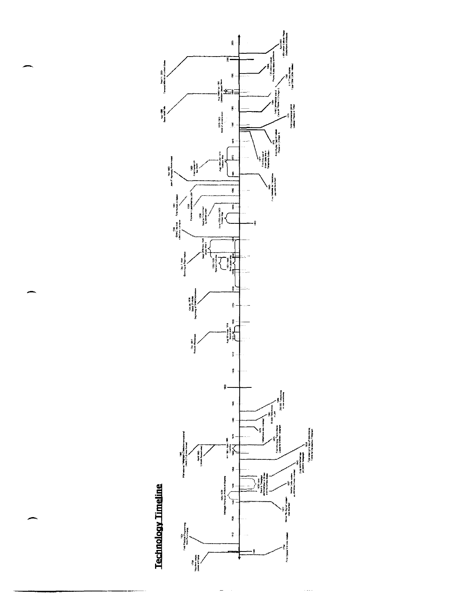

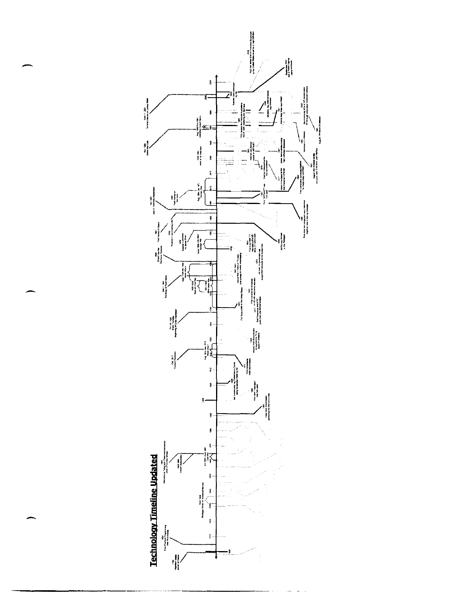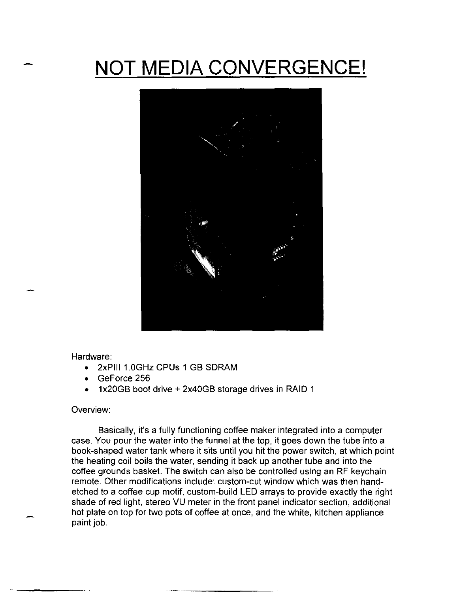## **NOT MEDIA CONVERGENCE!**



Hardware:

- 2xPili 1.0GHz cPUs 1 GB SDRAM
- GeForce 256
- 1x20GB boot drive + 2x40GB storage drives in RAID 1

#### Overview:

Basically, it's a fully functioning coffee maker integrated into a computer case. You pour the water into the funnel at the top, it goes down the tube into a book-shaped water tank where it sits until you hit the power switch, at which point the heating coil boils the water, sending it back up another tube and into the coffee grounds basket. The switch can also be controlled using an RF keychain remote. Other modifications include: custom-cut window which was then handetched to a coffee cup motif, custom-build LED arrays to provide exactly the right shade of red light, stereo VU meter in the front panel indicator section, additional hot plate on top for two pots of coffee at once, and the white, kitchen appliance paint job.